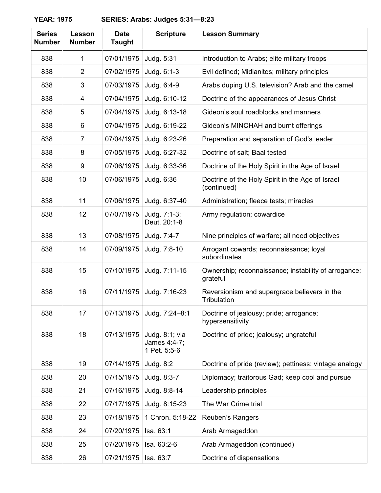## **YEAR: 1975 SERIES: Arabs: Judges 5:31—8:23**

| <b>Series</b><br><b>Number</b> | Lesson<br><b>Number</b> | <b>Date</b><br><b>Taught</b> | <b>Scripture</b>                               | <b>Lesson Summary</b>                                            |
|--------------------------------|-------------------------|------------------------------|------------------------------------------------|------------------------------------------------------------------|
| 838                            | 1                       | 07/01/1975                   | Judg. 5:31                                     | Introduction to Arabs; elite military troops                     |
| 838                            | $\overline{2}$          | 07/02/1975                   | Judg. 6:1-3                                    | Evil defined; Midianites; military principles                    |
| 838                            | 3                       | 07/03/1975                   | Judg. 6:4-9                                    | Arabs duping U.S. television? Arab and the camel                 |
| 838                            | 4                       | 07/04/1975                   | Judg. 6:10-12                                  | Doctrine of the appearances of Jesus Christ                      |
| 838                            | 5                       | 07/04/1975                   | Judg. 6:13-18                                  | Gideon's soul roadblocks and manners                             |
| 838                            | 6                       | 07/04/1975                   | Judg. 6:19-22                                  | Gideon's MINCHAH and burnt offerings                             |
| 838                            | $\overline{7}$          | 07/04/1975                   | Judg. 6:23-26                                  | Preparation and separation of God's leader                       |
| 838                            | 8                       | 07/05/1975                   | Judg. 6:27-32                                  | Doctrine of salt; Baal tested                                    |
| 838                            | 9                       | 07/06/1975                   | Judg. 6:33-36                                  | Doctrine of the Holy Spirit in the Age of Israel                 |
| 838                            | 10                      | 07/06/1975                   | Judg. 6:36                                     | Doctrine of the Holy Spirit in the Age of Israel<br>(continued)  |
| 838                            | 11                      | 07/06/1975                   | Judg. 6:37-40                                  | Administration; fleece tests; miracles                           |
| 838                            | 12                      | 07/07/1975                   | Judg. 7:1-3;<br>Deut. 20:1-8                   | Army regulation; cowardice                                       |
| 838                            | 13                      | 07/08/1975                   | Judg. 7:4-7                                    | Nine principles of warfare; all need objectives                  |
| 838                            | 14                      | 07/09/1975                   | Judg. 7:8-10                                   | Arrogant cowards; reconnaissance; loyal<br>subordinates          |
| 838                            | 15                      | 07/10/1975                   | Judg. 7:11-15                                  | Ownership; reconnaissance; instability of arrogance;<br>grateful |
| 838                            | 16                      | 07/11/1975                   | Judg. 7:16-23                                  | Reversionism and supergrace believers in the<br>Tribulation      |
| 838                            | 17                      | 07/13/1975                   | Judg. 7:24-8:1                                 | Doctrine of jealousy; pride; arrogance;<br>hypersensitivity      |
| 838                            | 18                      | 07/13/1975                   | Judg. 8:1; via<br>James 4:4-7;<br>1 Pet. 5:5-6 | Doctrine of pride; jealousy; ungrateful                          |
| 838                            | 19                      | 07/14/1975                   | Judg. 8:2                                      | Doctrine of pride (review); pettiness; vintage analogy           |
| 838                            | 20                      | 07/15/1975                   | Judg. 8:3-7                                    | Diplomacy; traitorous Gad; keep cool and pursue                  |
| 838                            | 21                      | 07/16/1975                   | Judg. 8:8-14                                   | Leadership principles                                            |
| 838                            | 22                      | 07/17/1975                   | Judg. 8:15-23                                  | The War Crime trial                                              |
| 838                            | 23                      | 07/18/1975                   | 1 Chron. 5:18-22                               | Reuben's Rangers                                                 |
| 838                            | 24                      | 07/20/1975                   | Isa. 63:1                                      | Arab Armageddon                                                  |
| 838                            | 25                      | 07/20/1975                   | Isa. 63:2-6                                    | Arab Armageddon (continued)                                      |
| 838                            | 26                      | 07/21/1975                   | Isa. 63:7                                      | Doctrine of dispensations                                        |